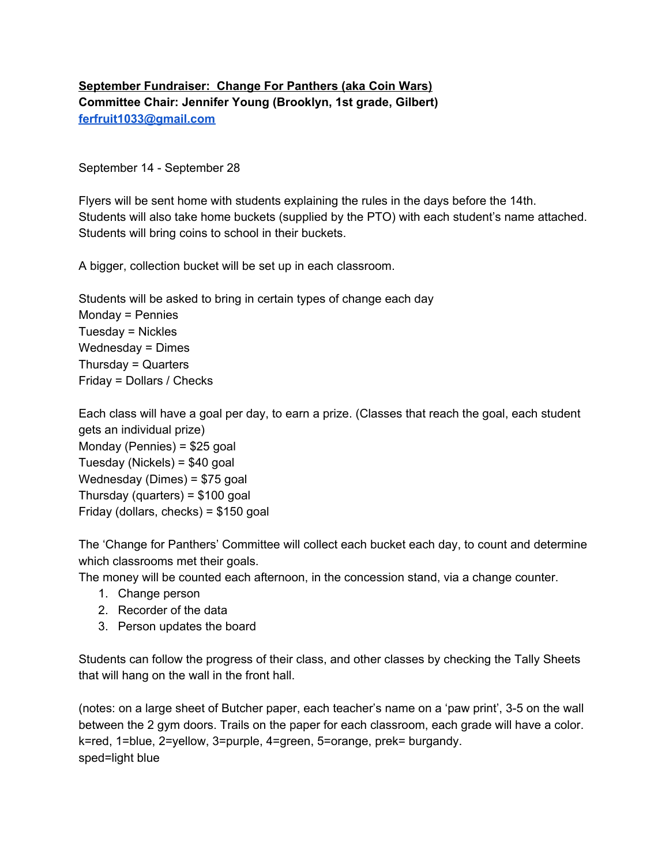## **September Fundraiser: Change For Panthers (aka Coin Wars) Committee Chair: Jennifer Young (Brooklyn, 1st grade, Gilbert) [ferfruit1033@gmail.com](mailto:ferfruit1033@gmail.com)**

## September 14 - September 28

Flyers will be sent home with students explaining the rules in the days before the 14th. Students will also take home buckets (supplied by the PTO) with each student's name attached. Students will bring coins to school in their buckets.

A bigger, collection bucket will be set up in each classroom.

Students will be asked to bring in certain types of change each day Monday = Pennies Tuesday = Nickles Wednesday = Dimes Thursday = Quarters Friday = Dollars / Checks

Each class will have a goal per day, to earn a prize. (Classes that reach the goal, each student gets an individual prize) Monday (Pennies) = \$25 goal Tuesday (Nickels) = \$40 goal Wednesday (Dimes) = \$75 goal Thursday (quarters) = \$100 goal Friday (dollars, checks) = \$150 goal

The 'Change for Panthers' Committee will collect each bucket each day, to count and determine which classrooms met their goals.

The money will be counted each afternoon, in the concession stand, via a change counter.

- 1. Change person
- 2. Recorder of the data
- 3. Person updates the board

Students can follow the progress of their class, and other classes by checking the Tally Sheets that will hang on the wall in the front hall.

(notes: on a large sheet of Butcher paper, each teacher's name on a 'paw print', 3-5 on the wall between the 2 gym doors. Trails on the paper for each classroom, each grade will have a color. k=red, 1=blue, 2=yellow, 3=purple, 4=green, 5=orange, prek= burgandy. sped=light blue